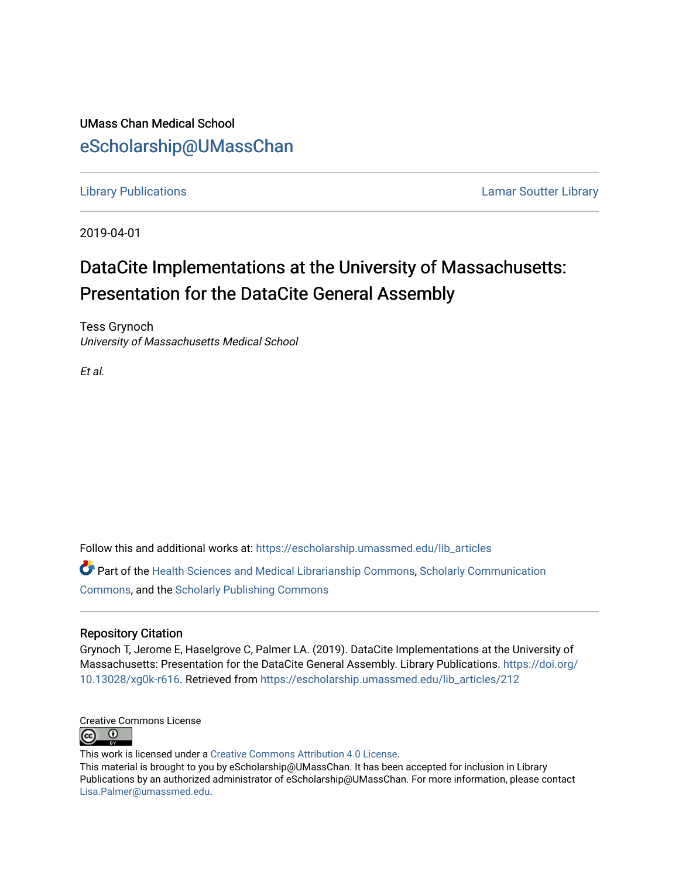#### UMass Chan Medical School [eScholarship@UMassChan](https://escholarship.umassmed.edu/)

[Library Publications](https://escholarship.umassmed.edu/lib_articles) [Lamar Soutter Library](https://escholarship.umassmed.edu/library) 

2019-04-01

### DataCite Implementations at the University of Massachusetts: Presentation for the DataCite General Assembly

Tess Grynoch University of Massachusetts Medical School

Et al.

Follow this and additional works at: [https://escholarship.umassmed.edu/lib\\_articles](https://escholarship.umassmed.edu/lib_articles?utm_source=escholarship.umassmed.edu%2Flib_articles%2F212&utm_medium=PDF&utm_campaign=PDFCoverPages) 

Part of the [Health Sciences and Medical Librarianship Commons](http://network.bepress.com/hgg/discipline/1419?utm_source=escholarship.umassmed.edu%2Flib_articles%2F212&utm_medium=PDF&utm_campaign=PDFCoverPages), [Scholarly Communication](http://network.bepress.com/hgg/discipline/1272?utm_source=escholarship.umassmed.edu%2Flib_articles%2F212&utm_medium=PDF&utm_campaign=PDFCoverPages)  [Commons](http://network.bepress.com/hgg/discipline/1272?utm_source=escholarship.umassmed.edu%2Flib_articles%2F212&utm_medium=PDF&utm_campaign=PDFCoverPages), and the [Scholarly Publishing Commons](http://network.bepress.com/hgg/discipline/1273?utm_source=escholarship.umassmed.edu%2Flib_articles%2F212&utm_medium=PDF&utm_campaign=PDFCoverPages) 

#### Repository Citation

Grynoch T, Jerome E, Haselgrove C, Palmer LA. (2019). DataCite Implementations at the University of Massachusetts: Presentation for the DataCite General Assembly. Library Publications. [https://doi.org/](https://doi.org/10.13028/xg0k-r616) [10.13028/xg0k-r616](https://doi.org/10.13028/xg0k-r616). Retrieved from [https://escholarship.umassmed.edu/lib\\_articles/212](https://escholarship.umassmed.edu/lib_articles/212?utm_source=escholarship.umassmed.edu%2Flib_articles%2F212&utm_medium=PDF&utm_campaign=PDFCoverPages) 



This work is licensed under a [Creative Commons Attribution 4.0 License](http://creativecommons.org/licenses/by/4.0/).

This material is brought to you by eScholarship@UMassChan. It has been accepted for inclusion in Library Publications by an authorized administrator of eScholarship@UMassChan. For more information, please contact [Lisa.Palmer@umassmed.edu](mailto:Lisa.Palmer@umassmed.edu).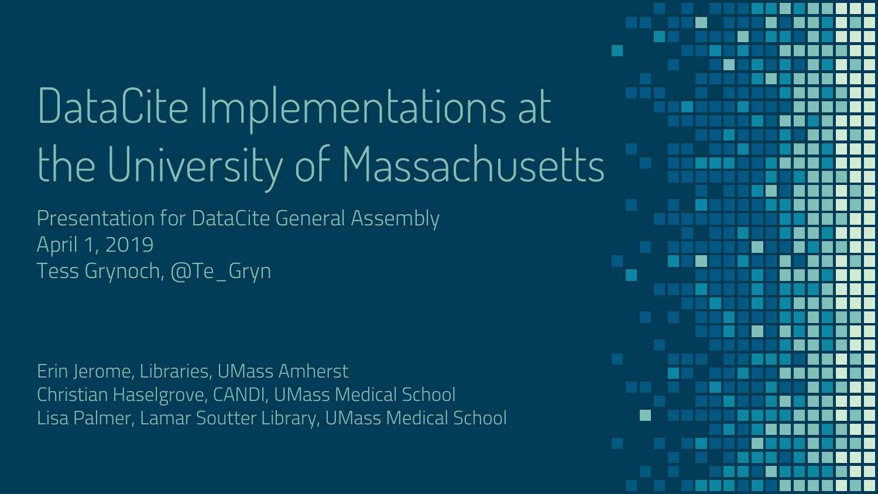# DataCite Implementations at the University of Massachusetts

Presentation for DataCite General Assembly April 1, 2019 Tess Grynoch, @Te\_Gryn

Erin Jerome, Libraries, UMass Amherst Christian Haselgrove, CANDI, UMass Medical School Lisa Palmer, Lamar Soutter Library, UMass Medical School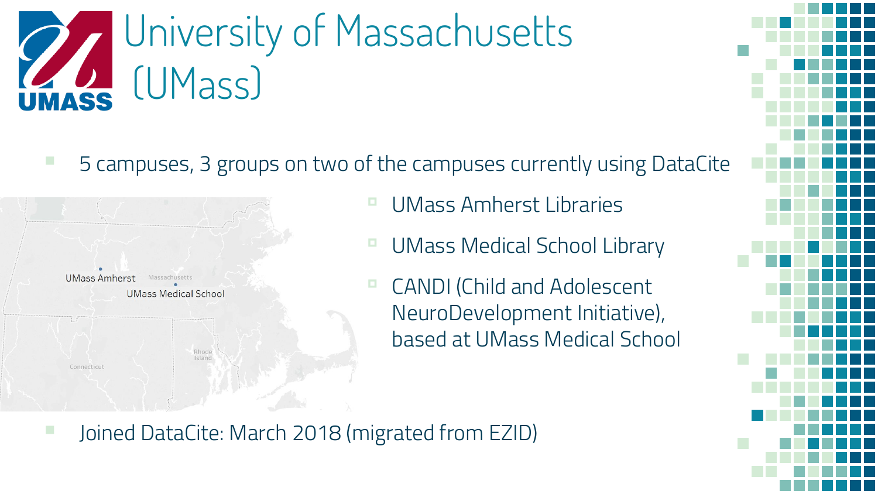

▪ 5 campuses, 3 groups on two of the campuses currently using DataCite



- UMass Amherst Libraries
- UMass Medical School Library
- CANDI (Child and Adolescent NeuroDevelopment Initiative), based at UMass Medical School

Joined DataCite: March 2018 (migrated from EZID)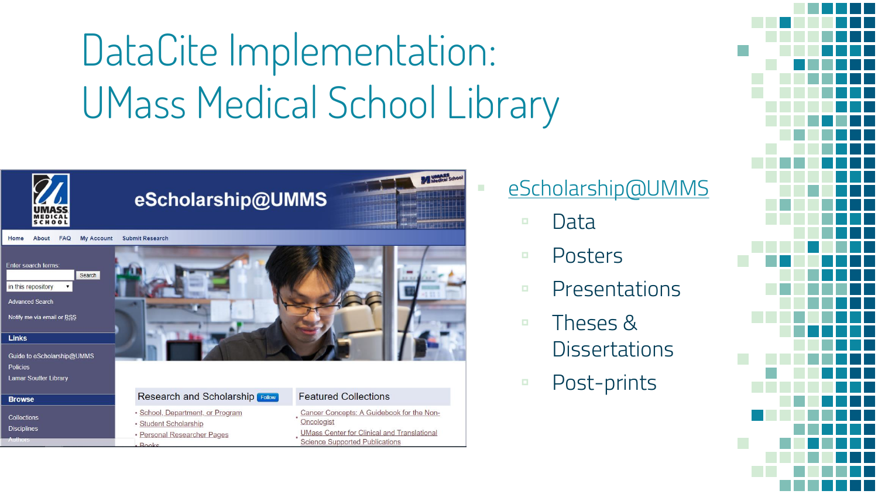# DataCite Implementation: UMass Medical School Library



### [eScholarship@UMMS](https://escholarship.umassmed.edu/)

- Data
- Posters
- Presentations
- Theses & **Dissertations**
- Post-prints

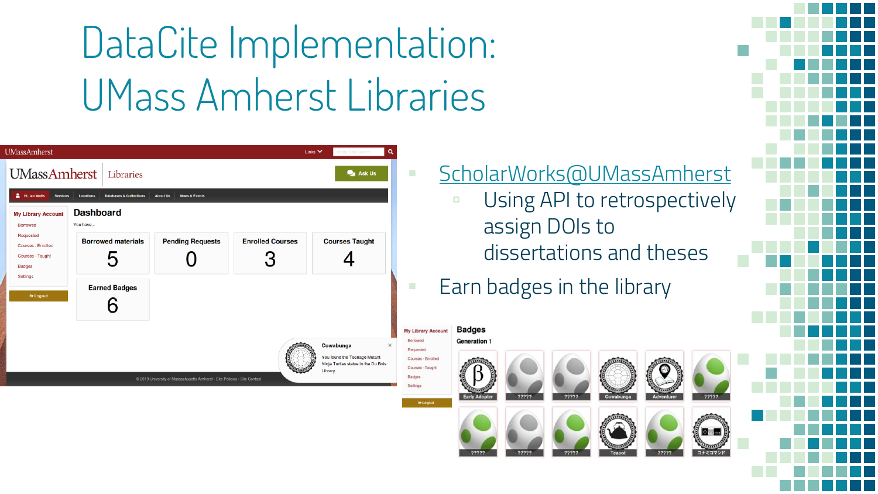# DataCite Implementation: UMass Amherst Libraries

| <b>UMassAmherst</b>                                                                                                                                                                            |                                                                                 |                                                                           |                         | Q<br>Library Site Search<br>Links $\vee$                                                         |                                                                                                                    |
|------------------------------------------------------------------------------------------------------------------------------------------------------------------------------------------------|---------------------------------------------------------------------------------|---------------------------------------------------------------------------|-------------------------|--------------------------------------------------------------------------------------------------|--------------------------------------------------------------------------------------------------------------------|
| <b>UMassAmherst</b><br>Libraries                                                                                                                                                               |                                                                                 |                                                                           |                         | <b>Ask Us</b>                                                                                    | г<br>п                                                                                                             |
| A Hi, lan Walls<br><b>Services</b><br><b>My Library Account</b><br>Borrowed<br>Requested<br>Courses - Enrolled<br>Courses - Taught<br><b>Badges</b><br>Settings<br><b><sup>(∌</sup> Logout</b> | Locations<br><b>Databases &amp; Collections</b><br><b>Dashboard</b><br>You have | <b>About Us</b><br><b>News &amp; Events</b>                               |                         |                                                                                                  |                                                                                                                    |
|                                                                                                                                                                                                | <b>Borrowed materials</b>                                                       | <b>Pending Requests</b>                                                   | <b>Enrolled Courses</b> | <b>Courses Taught</b>                                                                            |                                                                                                                    |
|                                                                                                                                                                                                | <b>Earned Badges</b>                                                            |                                                                           |                         |                                                                                                  | п                                                                                                                  |
|                                                                                                                                                                                                |                                                                                 | @ 2019 University of Massachusetts Amherst . Site Policies . Site Contact |                         | Cowabunga<br>×<br>You found the Teenage Mutant<br>Ninja Turtles statue in the Du Bois<br>Library | <b>My Library Account</b><br>Borrowed<br>Requested<br>Courses - Enrolled<br>Courses - Taught<br>Badges<br>Settings |
|                                                                                                                                                                                                |                                                                                 |                                                                           |                         |                                                                                                  | to Logout                                                                                                          |

**E** [ScholarWorks@UMassAmherst](https://scholarworks.umass.edu/)

- Using API to retrospectively assign DOIs to dissertations and theses
- Earn badges in the library

### **Badges Generation 1**

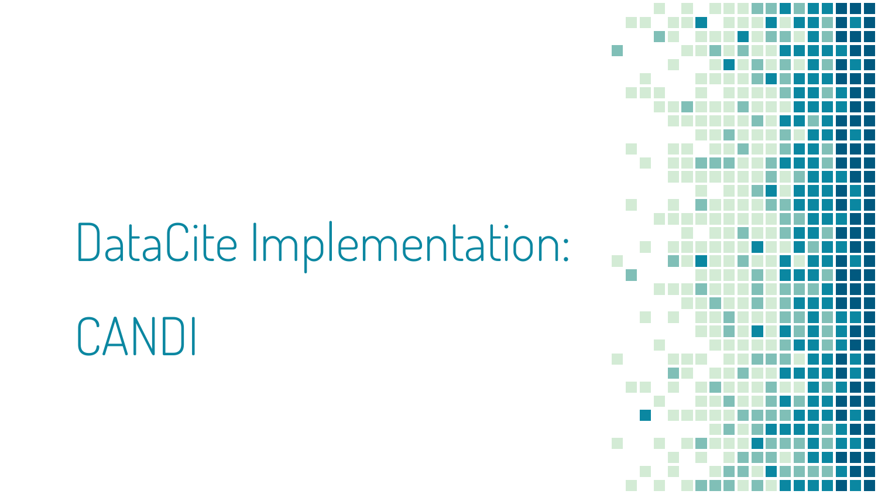# DataCite Implementation:

CANDI

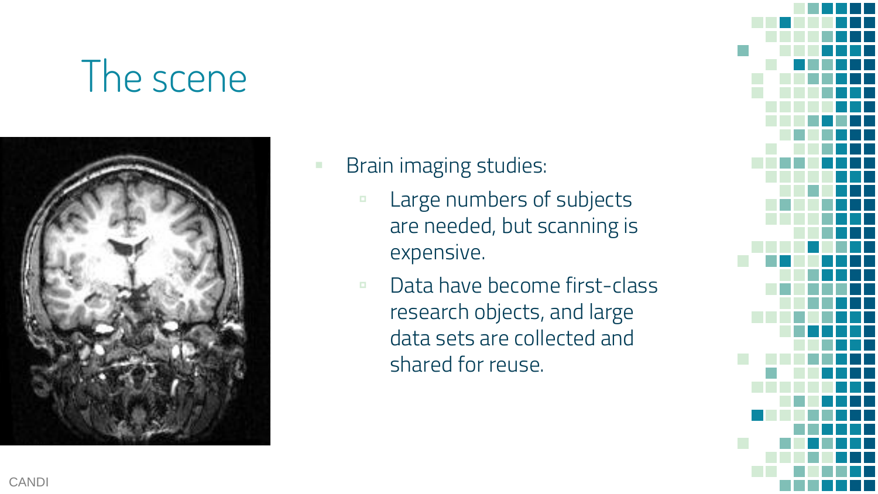## The scene



- **Brain imaging studies:** 
	- Large numbers of subjects are needed, but scanning is expensive.
	- Data have become first-class research objects, and large data sets are collected and shared for reuse.

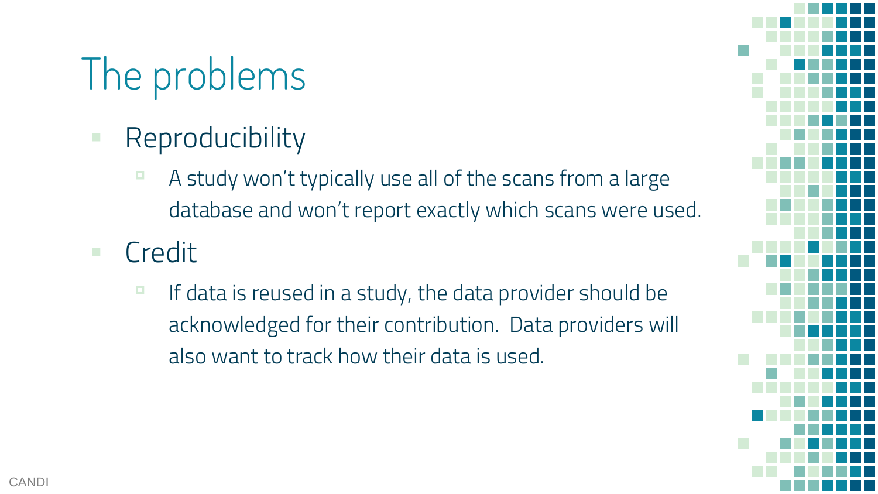## The problems

- Reproducibility
	- $\blacksquare$  A study won't typically use all of the scans from a large database and won't report exactly which scans were used.
- Credit
	- $\blacksquare$  If data is reused in a study, the data provider should be acknowledged for their contribution. Data providers will also want to track how their data is used.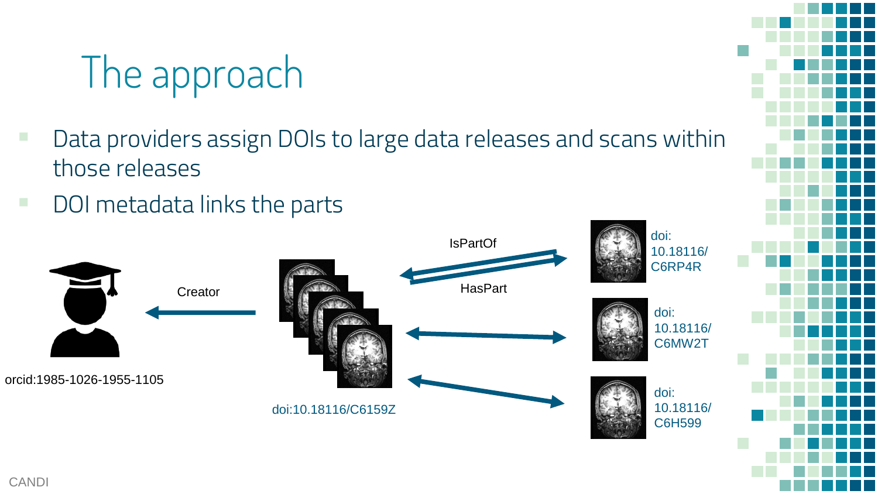## The approach

- Data providers assign DOIs to large data releases and scans within those releases
- DOI metadata links the parts

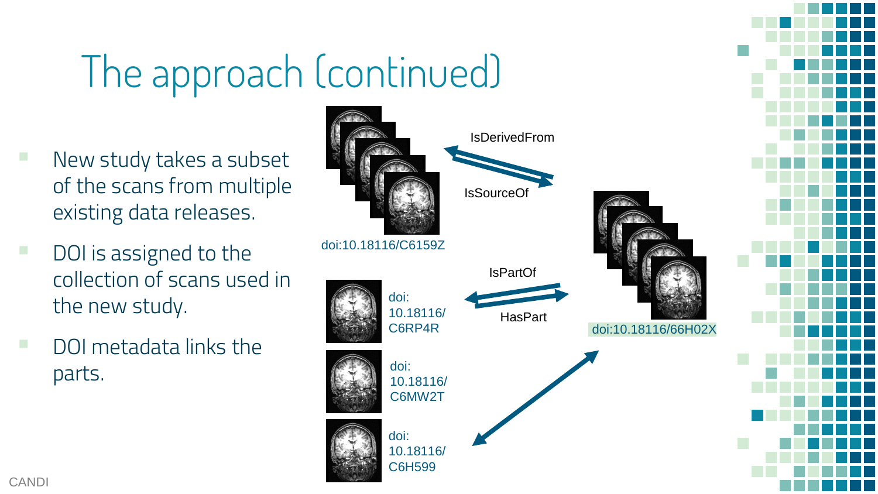# The approach (continued)

- New study takes a subset of the scans from multiple existing data releases.
- DOI is assigned to the collection of scans used in the new study.
- DOI metadata links the parts.

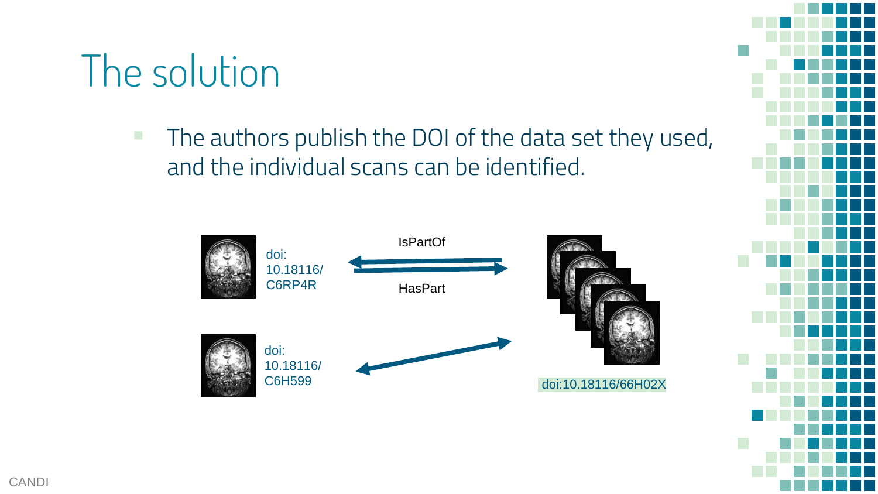## The solution

■ The authors publish the DOI of the data set they used, and the individual scans can be identified.



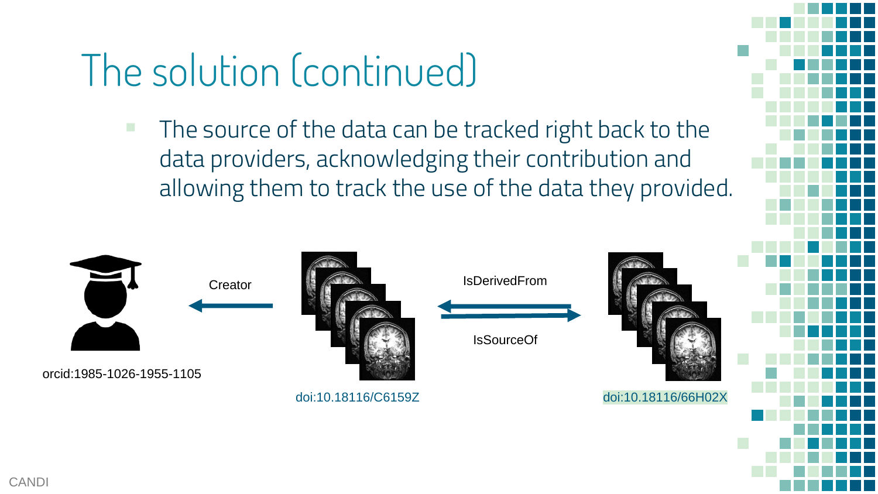## The solution (continued)

The source of the data can be tracked right back to the data providers, acknowledging their contribution and allowing them to track the use of the data they provided.

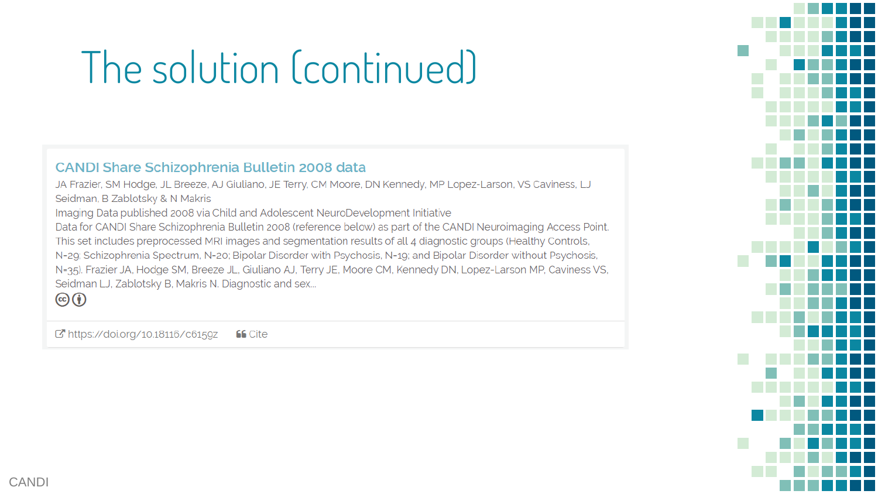## The solution (continued)

#### **CANDI Share Schizophrenia Bulletin 2008 data**

JA Frazier, SM Hodge, JL Breeze, AJ Giuliano, JE Terry, CM Moore, DN Kennedy, MP Lopez-Larson, VS Caviness, LJ Seidman, B Zablotsky & N Makris

Imaging Data published 2008 via Child and Adolescent NeuroDevelopment Initiative

Data for CANDI Share Schizophrenia Bulletin 2008 (reference below) as part of the CANDI Neuroimaging Access Point. This set includes preprocessed MRI images and segmentation results of all 4 diagnostic groups (Healthy Controls, N=29; Schizophrenia Spectrum, N=20; Bipolar Disorder with Psychosis, N=19; and Bipolar Disorder without Psychosis, N=35). Frazier JA, Hodge SM, Breeze JL, Giuliano AJ, Terry JE, Moore CM, Kennedy DN, Lopez-Larson MP, Caviness VS, Seidman LJ, Zablotsky B, Makris N. Diagnostic and sex...

 $\odot$  (i)

Chttps://doi.org/10.18116/c6159z **66** Cite